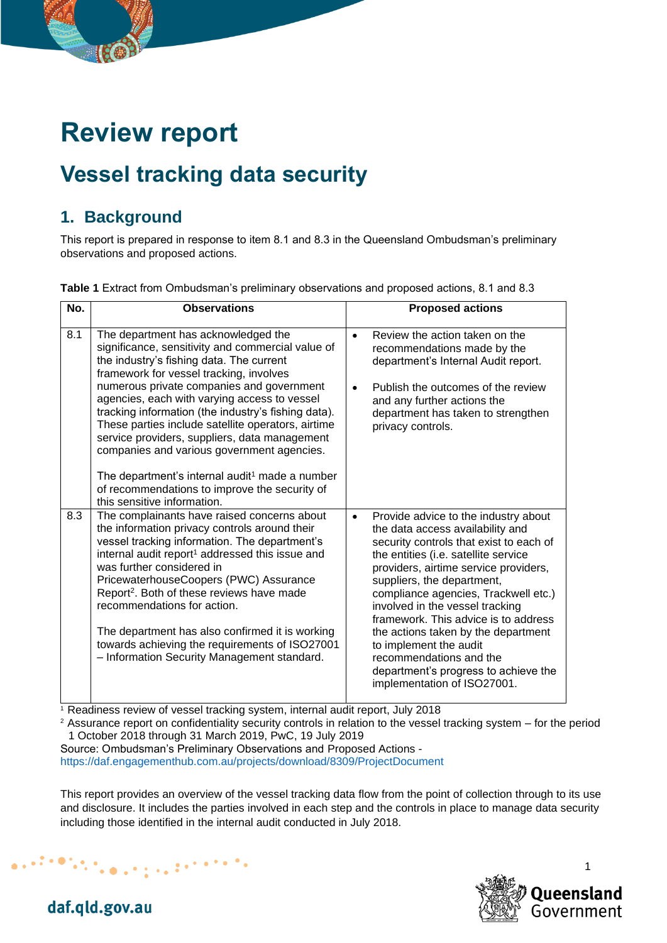# **Review report**

## **Vessel tracking data security**

## **1. Background**

This report is prepared in response to item 8.1 and 8.3 in the Queensland Ombudsman's preliminary observations and proposed actions.

|  |  |  |  |  |  | Table 1 Extract from Ombudsman's preliminary observations and proposed actions, 8.1 and 8.3 |  |
|--|--|--|--|--|--|---------------------------------------------------------------------------------------------|--|
|--|--|--|--|--|--|---------------------------------------------------------------------------------------------|--|

| No. | <b>Observations</b>                                                                                                                                                                                                                                                                                                                                                                                                                                                                                                                                                                                                                    | <b>Proposed actions</b>                                                                                                                                                                                                                                                                                                                                                                                                                                                                                                               |
|-----|----------------------------------------------------------------------------------------------------------------------------------------------------------------------------------------------------------------------------------------------------------------------------------------------------------------------------------------------------------------------------------------------------------------------------------------------------------------------------------------------------------------------------------------------------------------------------------------------------------------------------------------|---------------------------------------------------------------------------------------------------------------------------------------------------------------------------------------------------------------------------------------------------------------------------------------------------------------------------------------------------------------------------------------------------------------------------------------------------------------------------------------------------------------------------------------|
| 8.1 | The department has acknowledged the<br>significance, sensitivity and commercial value of<br>the industry's fishing data. The current<br>framework for vessel tracking, involves<br>numerous private companies and government<br>agencies, each with varying access to vessel<br>tracking information (the industry's fishing data).<br>These parties include satellite operators, airtime<br>service providers, suppliers, data management<br>companies and various government agencies.<br>The department's internal audit <sup>1</sup> made a number<br>of recommendations to improve the security of<br>this sensitive information. | Review the action taken on the<br>$\bullet$<br>recommendations made by the<br>department's Internal Audit report.<br>Publish the outcomes of the review<br>$\bullet$<br>and any further actions the<br>department has taken to strengthen<br>privacy controls.                                                                                                                                                                                                                                                                        |
| 8.3 | The complainants have raised concerns about<br>the information privacy controls around their<br>vessel tracking information. The department's<br>internal audit report <sup>1</sup> addressed this issue and<br>was further considered in<br>PricewaterhouseCoopers (PWC) Assurance<br>Report <sup>2</sup> . Both of these reviews have made<br>recommendations for action.<br>The department has also confirmed it is working<br>towards achieving the requirements of ISO27001<br>- Information Security Management standard.                                                                                                        | Provide advice to the industry about<br>$\bullet$<br>the data access availability and<br>security controls that exist to each of<br>the entities (i.e. satellite service<br>providers, airtime service providers,<br>suppliers, the department,<br>compliance agencies, Trackwell etc.)<br>involved in the vessel tracking<br>framework. This advice is to address<br>the actions taken by the department<br>to implement the audit<br>recommendations and the<br>department's progress to achieve the<br>implementation of ISO27001. |

<sup>1</sup> Readiness review of vessel tracking system, internal audit report, July 2018

<sup>2</sup> Assurance report on confidentiality security controls in relation to the vessel tracking system – for the period 1 October 2018 through 31 March 2019, PwC, 19 July 2019

Source: Ombudsman's Preliminary Observations and Proposed Actions <https://daf.engagementhub.com.au/projects/download/8309/ProjectDocument>

This report provides an overview of the vessel tracking data flow from the point of collection through to its use and disclosure. It includes the parties involved in each step and the controls in place to manage data security including those identified in the internal audit conducted in July 2018.



daf.qld.gov.au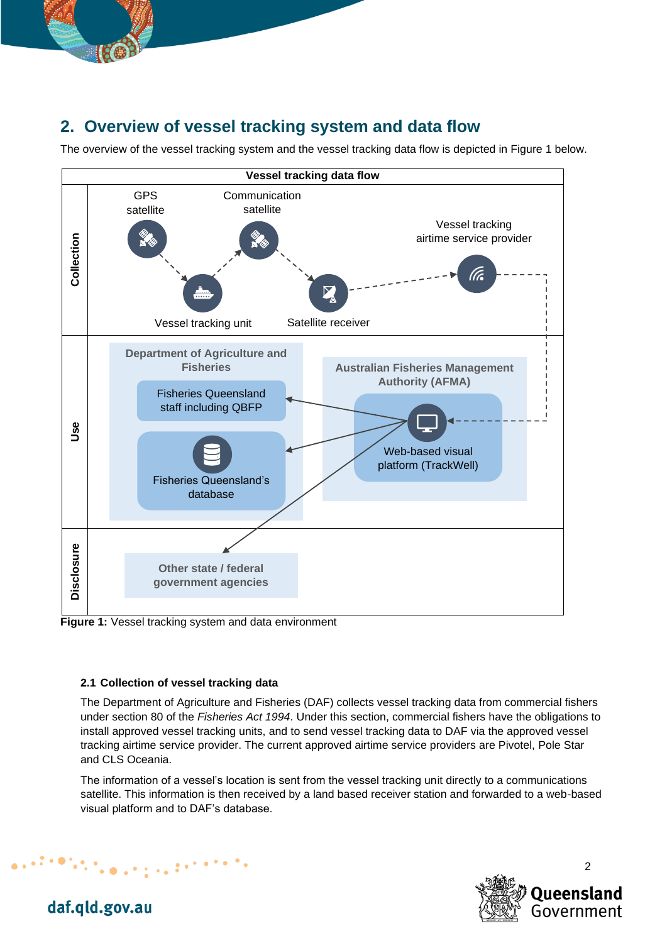

## **2. Overview of vessel tracking system and data flow**

The overview of the vessel tracking system and the vessel tracking data flow is depicted in Figure 1 below.



**Figure 1:** Vessel tracking system and data environment

#### **2.1 Collection of vessel tracking data**

The Department of Agriculture and Fisheries (DAF) collects vessel tracking data from commercial fishers under section 80 of the *Fisheries Act 1994*. Under this section, commercial fishers have the obligations to install approved vessel tracking units, and to send vessel tracking data to DAF via the approved vessel tracking airtime service provider. The current approved airtime service providers are Pivotel, Pole Star and CLS Oceania.

The information of a vessel's location is sent from the vessel tracking unit directly to a communications satellite. This information is then received by a land based receiver station and forwarded to a web-based visual platform and to DAF's database.



daf.qld.gov.au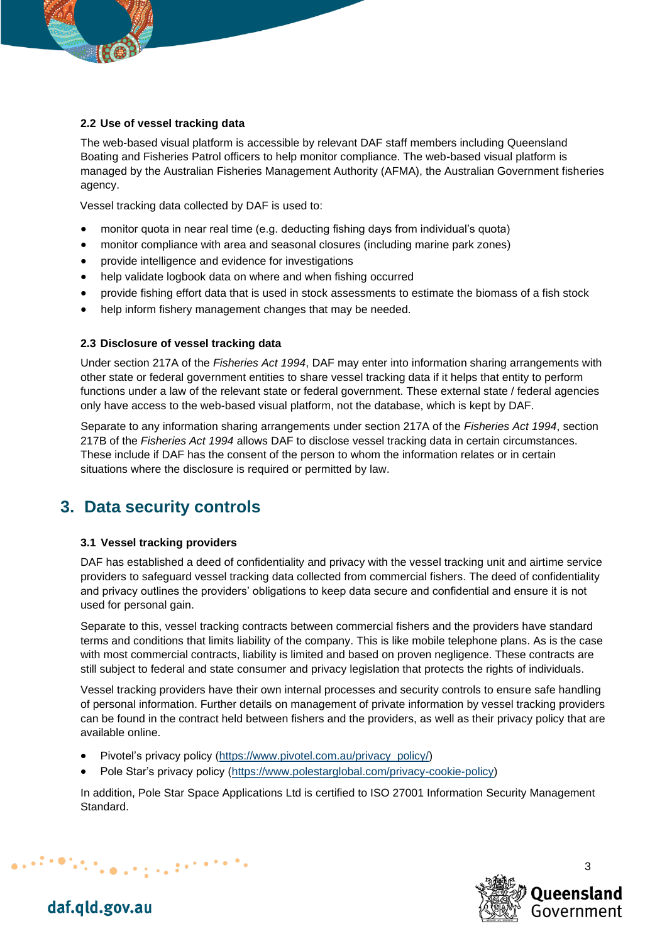

#### **2.2 Use of vessel tracking data**

The web-based visual platform is accessible by relevant DAF staff members including Queensland Boating and Fisheries Patrol officers to help monitor compliance. The web-based visual platform is managed by the Australian Fisheries Management Authority (AFMA), the Australian Government fisheries agency.

Vessel tracking data collected by DAF is used to:

- monitor quota in near real time (e.g. deducting fishing days from individual's quota)
- monitor compliance with area and seasonal closures (including marine park zones)
- provide intelligence and evidence for investigations
- help validate logbook data on where and when fishing occurred
- provide fishing effort data that is used in stock assessments to estimate the biomass of a fish stock
- help inform fishery management changes that may be needed.

#### **2.3 Disclosure of vessel tracking data**

Under section 217A of the *Fisheries Act 1994*, DAF may enter into information sharing arrangements with other state or federal government entities to share vessel tracking data if it helps that entity to perform functions under a law of the relevant state or federal government. These external state / federal agencies only have access to the web-based visual platform, not the database, which is kept by DAF.

Separate to any information sharing arrangements under section 217A of the *Fisheries Act 1994*, section 217B of the *Fisheries Act 1994* allows DAF to disclose vessel tracking data in certain circumstances. These include if DAF has the consent of the person to whom the information relates or in certain situations where the disclosure is required or permitted by law.

## **3. Data security controls**

#### **3.1 Vessel tracking providers**

DAF has established a deed of confidentiality and privacy with the vessel tracking unit and airtime service providers to safeguard vessel tracking data collected from commercial fishers. The deed of confidentiality and privacy outlines the providers' obligations to keep data secure and confidential and ensure it is not used for personal gain.

Separate to this, vessel tracking contracts between commercial fishers and the providers have standard terms and conditions that limits liability of the company. This is like mobile telephone plans. As is the case with most commercial contracts, liability is limited and based on proven negligence. These contracts are still subject to federal and state consumer and privacy legislation that protects the rights of individuals.

Vessel tracking providers have their own internal processes and security controls to ensure safe handling of personal information. Further details on management of private information by vessel tracking providers can be found in the contract held between fishers and the providers, as well as their privacy policy that are available online.

• Pivotel's privacy policy [\(https://www.pivotel.com.au/privacy\\_policy/\)](https://www.pivotel.com.au/privacy_policy/)

 $\mathcal{L}_{\text{max}}$  , and the first state  $\mathcal{L}_{\text{max}}$ 

Pole Star's privacy policy [\(https://www.polestarglobal.com/privacy-cookie-policy\)](https://www.polestarglobal.com/privacy-cookie-policy)

In addition, Pole Star Space Applications Ltd is certified to ISO 27001 Information Security Management Standard.



daf.qld.gov.au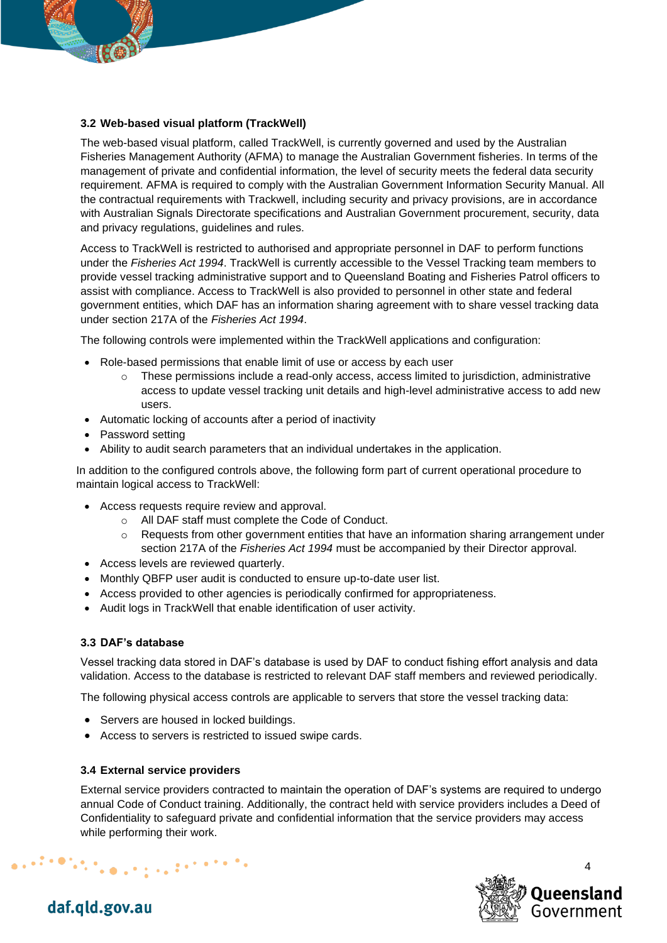

#### **3.2 Web-based visual platform (TrackWell)**

The web-based visual platform, called TrackWell, is currently governed and used by the Australian Fisheries Management Authority (AFMA) to manage the Australian Government fisheries. In terms of the management of private and confidential information, the level of security meets the federal data security requirement. AFMA is required to comply with the Australian Government Information Security Manual. All the contractual requirements with Trackwell, including security and privacy provisions, are in accordance with Australian Signals Directorate specifications and Australian Government procurement, security, data and privacy regulations, guidelines and rules.

Access to TrackWell is restricted to authorised and appropriate personnel in DAF to perform functions under the *Fisheries Act 1994*. TrackWell is currently accessible to the Vessel Tracking team members to provide vessel tracking administrative support and to Queensland Boating and Fisheries Patrol officers to assist with compliance. Access to TrackWell is also provided to personnel in other state and federal government entities, which DAF has an information sharing agreement with to share vessel tracking data under section 217A of the *Fisheries Act 1994*.

The following controls were implemented within the TrackWell applications and configuration:

- Role-based permissions that enable limit of use or access by each user
	- $\circ$  These permissions include a read-only access, access limited to jurisdiction, administrative access to update vessel tracking unit details and high-level administrative access to add new users.
- Automatic locking of accounts after a period of inactivity
- Password setting
- Ability to audit search parameters that an individual undertakes in the application.

In addition to the configured controls above, the following form part of current operational procedure to maintain logical access to TrackWell:

- Access requests require review and approval.
	- o All DAF staff must complete the Code of Conduct.
	- $\circ$  Requests from other government entities that have an information sharing arrangement under section 217A of the *Fisheries Act 1994* must be accompanied by their Director approval.
- Access levels are reviewed quarterly.
- Monthly QBFP user audit is conducted to ensure up-to-date user list.
- Access provided to other agencies is periodically confirmed for appropriateness.
- Audit logs in TrackWell that enable identification of user activity.

#### **3.3 DAF's database**

Vessel tracking data stored in DAF's database is used by DAF to conduct fishing effort analysis and data validation. Access to the database is restricted to relevant DAF staff members and reviewed periodically.

The following physical access controls are applicable to servers that store the vessel tracking data:

- Servers are housed in locked buildings.
- Access to servers is restricted to issued swipe cards.

#### **3.4 External service providers**

External service providers contracted to maintain the operation of DAF's systems are required to undergo annual Code of Conduct training. Additionally, the contract held with service providers includes a Deed of Confidentiality to safeguard private and confidential information that the service providers may access while performing their work.



### daf.qld.gov.au

 $\mathcal{L}^{(1)}\left(\mathcal{D}^{(1)}\right)_{\mathcal{D}^{(1)}\left(\mathcal{D}^{(1)}\right)}=\mathcal{L}^{(1)}\left(\mathcal{D}^{(1)}\right)^{-1}\mathcal{D}^{(1)}\left(\mathcal{D}^{(1)}\right)^{-1}\mathcal{D}^{(1)}\left(\mathcal{D}^{(1)}\right)^{-1}\mathcal{D}^{(1)}\left(\mathcal{D}^{(1)}\right)^{-1}\mathcal{D}^{(1)}\left(\mathcal{D}^{(1)}\right)^{-1}\mathcal{D}^{(1)}\left(\mathcal{D}^{(1)}\right)^{-1}\mathcal{D}^{$